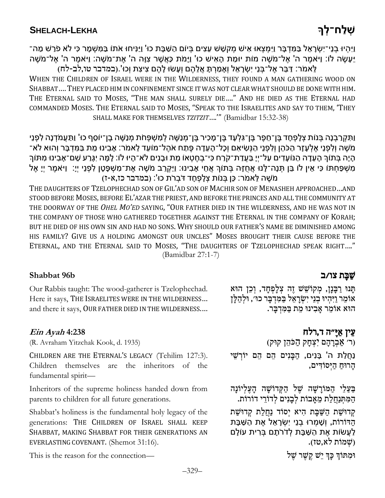וַיִּהִיוּ בַנֵי־יִשְׂרָאֵל בַּמִּדְבַר וַיִּמִצַאוּ אִישׁ מִקְשֶׁשׁ עֶצָים בַּיוֹם הַשָּׁבַּת כוּ' וַיַּנִּיחוּ אֹתוֹ בַּמַּשִׁמֶר כִּי לֹאַ פֹרַשׁ מַה־ יֵּעֲשֶׂה לוֹ: וַיֹּאמֶר ה' אֵל־מֹשֶׁה מוֹת יוּמַת הָאִישׁ כוּ' וַיַּמֹת כַּאֲשֶׁר צָוַּה ה' אֶת־מֹשֵׁה: וַיֹּאמֶר ה' אֵל־מֹשֵׁה לֵַּאמֹ רַ: דּ בֵַּרַא ל־בְַּנֵיַ י ַשְַׂרָ אֵ ל וְ אָ מ רְ ַתַַָּא לֵ ה ם וְ עַָשׂוַַּלָ ה ם צ יצ תַ וְ כַוּ'.)במדבר טו,לב- לח(

WHEN THE CHILDREN OF ISRAEL WERE IN THE WILDERNESS, THEY FOUND A MAN GATHERING WOOD ON SHABBAT….THEY PLACED HIM IN CONFINEMENT SINCE IT WAS NOT CLEAR WHAT SHOULD BE DONE WITH HIM. THE ETERNAL SAID TO MOSES, "THE MAN SHALL SURELY DIE…." AND HE DIED AS THE ETERNAL HAD COMMANDED MOSES. THE ETERNAL SAID TO MOSES, "SPEAK TO THE ISRAELITES AND SAY TO THEM, 'THEY SHALL MAKE FOR THEMSELVES *TZITZIT*….'" (Bamidbar 15:32-38)

וַתְּקְרַבְנָה בְּנוֹת צְלָפְחָד בֵּן־חֵפֶר בֵּן־גִּלְעָד בֵּן־מָכִיר בֵּן־מְנַשֶּׁה לְמִשְׁפָּחֹת מִנַשֵּׁה בֵן־יוֹסֵף כוּ' וַתַּעֲמֹדְנָה לְפָנֵי ַמֹּשֶׁה וְלְפְנֵי אֶלְעָזֶר הַכֹּהֶן וְלְפְנֵי הַנְּשִׂיאָם וְכָל־הָעֶדָה פֶּתַח אֹהֶל־מוֹעֶד לֵאמֹר: אָבְינוּ מֶת בַּמִּדְבָּר וְהוּא לֹא־ הָיָה בְּתוֹךְ הָעֵדָה הַנּוֹעָדִים עַל־יְיָ בַּעֲדַת־קֹרַח כִּי־בְחֶטְאוֹ מֵת וּבָנִים לֹא־הָיוּ לוֹ: לָמָה יְגָּרַע שֵׁם־אָבִינוּ מִתּוֹךְ מִשְׁפָּחָתּוֹ כִּי אֵין לוֹ בֵֵן תְּנָה־לָּנוּ אֵחֲזָה בִּתוֹךְ אֵחֵי אָבִינוּ: וַיַּקְרֵב מֹשֶׁה אֶת־מִשְׁפָּטֶן לְפָנֵי יָיֵ: וַיּאמֶר יִיָ אֵל מֹשֶׁה לֵּאמֹר: כֵּן בְּנוֹת צְלָפְחָד דֹּבְרֹת כוּ': (במדבר כז,א-ז)

THE DAUGHTERS OF TZELOPHECHAD SON OF GIL'AD SON OF MACHIR SON OF MENASHEH APPROACHED…AND STOOD BEFORE MOSES, BEFORE EL'AZAR THE PRIEST, AND BEFORE THE PRINCES AND ALL THE COMMUNITY AT THE DOORWAY OF THE *OHEL MO'ED* SAYING, "OUR FATHER DIED IN THE WILDERNESS, AND HE WAS NOT IN THE COMPANY OF THOSE WHO GATHERED TOGETHER AGAINST THE ETERNAL IN THE COMPANY OF KORAH; BUT HE DIED OF HIS OWN SIN AND HAD NO SONS. WHY SHOULD OUR FATHER'S NAME BE DIMINISHED AMONG HIS FAMILY? GIVE US A HOLDING AMONGST OUR UNCLES" MOSES BROUGHT THEIR CAUSE BEFORE THE ETERNAL, AND THE ETERNAL SAID TO MOSES, "THE DAUGHTERS OF TZELOPHECHAD SPEAK RIGHT…." (Bamidbar 27:1-7)

## ש<mark>ָּבָת צו ⁄ ב ביש צו / ב Shabbat 96b</mark>

Our Rabbis taught: The wood-gatherer is Tzelophechad. Here it says, THE ISRAELITES WERE IN THE WILDERNESS… and there it says, OUR FATHER DIED IN THE WILDERNESS.…

### **Ein Ayah 4:238**

(R. Avraham Yitzchak Kook, d. 1935)

CHILDREN ARE THE ETERNAL'S LEGACY (Tehilim 127:3). Children themselves are the inheritors of the fundamental spirit—

Inheritors of the supreme holiness handed down from parents to children for all future generations.

Shabbat's holiness is the fundamental holy legacy of the generations: THE CHILDREN OF ISRAEL SHALL KEEP SHABBAT, MAKING SHABBAT FOR THEIR GENERATIONS AN EVERLASTING COVENANT. (Shemot 31:16).

 $\alpha$ וּמַתּוֹךְ כַּךְ יֵשׁ קֵשֶׁר שֶׁל  $\gamma$ 

תִּנוּ רַבָּנָן, מִקוֹשֵׁשׁ זֶה צְלָפְחָד, וְכֵן הוּא אוֹמֵר וַיִּהִיוּ בְנֵי יִשְׂרָאֵל בַּמִּדְבָר כוּ׳, וּלְהַלַּן הוּא אוֹמֵר אַבְינוּ מֵת בַּמִּדְבֵּר.

### עֵין אַיַ"ה ד,רלח

(ר׳ אַבְרָהָם יִצְחָק הַכֹּהֵן קוּק) נַחֲלַת ה' בָּנִים, הַבַּנִים הֶם הֶם יוֹרְשֵׁי

הרוּח הַיִּסוֹדִים,

בַּעֲלֵי הַמּוֹרָשָׁה שֵׁל הַקְּדוֹשָׁה הָעֵלְיוֹנָה הַמִּתְּנַחֲלַת מֵאֲבוֹת לְבַנִים לְדוֹרֵי דוֹרוֹת.

קִדוּשַׁת הַשַּׁבַּת הִיא יִסוֹד נַחֲלַת קִדוּשַׁת הַדּוֹרוֹת, וְשָׁמְרוּ בְנֵי יְשְׂרָאֵל אֶת הַשַּׁבֶַּּת לַעֲשׂוֹת אֵת הַשַּׁבָּת לְדֹרֹתָם בְּרִית עוֹלָם שְׁמוֹת לא,טז).